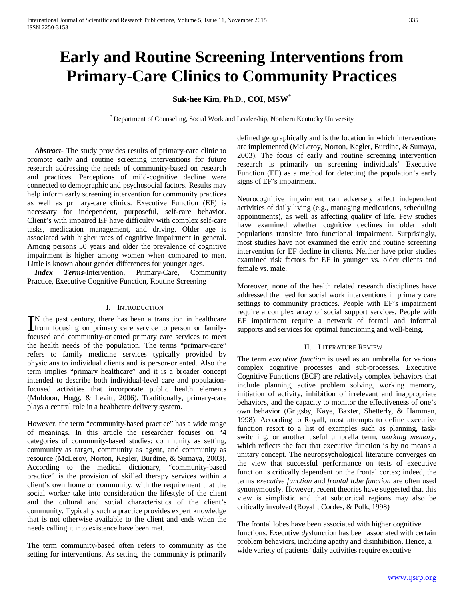# **Early and Routine Screening Interventions from Primary-Care Clinics to Community Practices**

## **Suk-hee Kim, Ph.D., COI, MSW\***

\* Department of Counseling, Social Work and Leadership, Northern Kentucky University

.

 *Abstract***-** The study provides results of primary-care clinic to promote early and routine screening interventions for future research addressing the needs of community-based on research and practices. Perceptions of mild-cognitive decline were connected to demographic and psychosocial factors. Results may help inform early screening intervention for community practices as well as primary-care clinics. Executive Function (EF) is necessary for independent, purposeful, self-care behavior. Client's with impaired EF have difficulty with complex self-care tasks, medication management, and driving. Older age is associated with higher rates of cognitive impairment in general. Among persons 50 years and older the prevalence of cognitive impairment is higher among women when compared to men. Little is known about gender differences for younger ages.

 *Index Terms*-Intervention, Primary-Care, Community Practice, Executive Cognitive Function, Routine Screening

### I. INTRODUCTION

N the past century, there has been a transition in healthcare IN the past century, there has been a transition in healthcare<br>from focusing on primary care service to person or familyfocused and community-oriented primary care services to meet the health needs of the population. The terms "primary-care" refers to family medicine services typically provided by physicians to individual clients and is person-oriented. Also the term implies "primary healthcare" and it is a broader concept intended to describe both individual-level care and populationfocused activities that incorporate public health elements (Muldoon, Hogg, & Levitt, 2006). Traditionally, primary-care plays a central role in a healthcare delivery system.

However, the term "community-based practice" has a wide range of meanings. In this article the researcher focuses on "4 categories of community-based studies: community as setting, community as target, community as agent, and community as resource (McLeroy, Norton, Kegler, Burdine, & Sumaya, 2003). According to the medical dictionary, "community-based practice" is the provision of skilled therapy services within a client's own home or community, with the requirement that the social worker take into consideration the lifestyle of the client and the cultural and social characteristics of the client's community. Typically such a practice provides expert knowledge that is not otherwise available to the client and ends when the needs calling it into existence have been met.

The term community-based often refers to community as the setting for interventions. As setting, the community is primarily defined geographically and is the location in which interventions are implemented (McLeroy, Norton, Kegler, Burdine, & Sumaya, 2003). The focus of early and routine screening intervention research is primarily on screening individuals' Executive Function (EF) as a method for detecting the population's early signs of EF's impairment.

Neurocognitive impairment can adversely affect independent activities of daily living (e.g., managing medications, scheduling appointments), as well as affecting quality of life. Few studies have examined whether cognitive declines in older adult populations translate into functional impairment. Surprisingly, most studies have not examined the early and routine screening intervention for EF decline in clients. Neither have prior studies examined risk factors for EF in younger vs. older clients and female vs. male.

Moreover, none of the health related research disciplines have addressed the need for social work interventions in primary care settings to community practices. People with EF's impairment require a complex array of social support services. People with EF impairment require a network of formal and informal supports and services for optimal functioning and well-being.

#### II. LITERATURE REVIEW

The term *executive function* is used as an umbrella for various complex cognitive processes and sub-processes. Executive Cognitive Functions (ECF) are relatively complex behaviors that include planning, active problem solving, working memory, initiation of activity, inhibition of irrelevant and inappropriate behaviors, and the capacity to monitor the effectiveness of one's own behavior (Grigsby, Kaye, Baxter, Shetterly, & Hamman, 1998). According to Royall, most attempts to define executive function resort to a list of examples such as planning, taskswitching, or another useful umbrella term, *working memory*, which reflects the fact that executive function is by no means a unitary concept. The neuropsychological literature converges on the view that successful performance on tests of executive function is critically dependent on the frontal cortex; indeed, the terms *executive function* and *frontal lobe function* are often used synonymously. However, recent theories have suggested that this view is simplistic and that subcortical regions may also be critically involved (Royall, Cordes, & Polk, 1998)

The frontal lobes have been associated with higher cognitive functions. Executive *dys*function has been associated with certain problem behaviors, including apathy and disinhibition. Hence, a wide variety of patients' daily activities require executive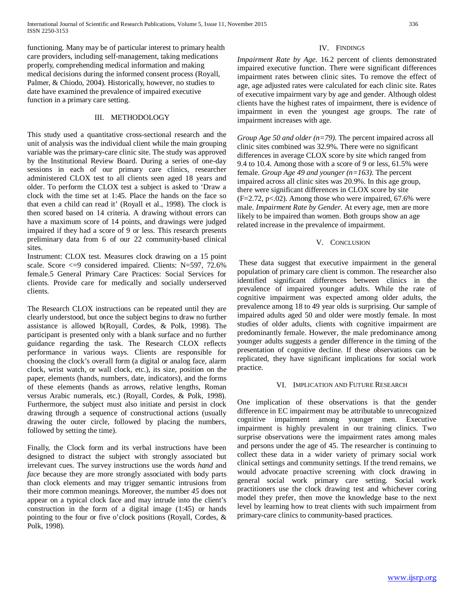functioning. Many may be of particular interest to primary health care providers, including self-management, taking medications properly, comprehending medical information and making medical decisions during the informed consent process (Royall, Palmer, & Chiodo, 2004). Historically, however, no studies to date have examined the prevalence of impaired executive function in a primary care setting.

## III. METHODOLOGY

This study used a quantitative cross-sectional research and the unit of analysis was the individual client while the main grouping variable was the primary-care clinic site. The study was approved by the Institutional Review Board. During a series of one-day sessions in each of our primary care clinics, researcher administered CLOX test to all clients seen aged 18 years and older. To perform the CLOX test a subject is asked to 'Draw a clock with the time set at 1:45. Place the hands on the face so that even a child can read it' (Royall et al., 1998). The clock is then scored based on 14 criteria. A drawing without errors can have a maximum score of 14 points, and drawings were judged impaired if they had a score of 9 or less. This research presents preliminary data from 6 of our 22 community-based clinical sites.

Instrument: CLOX test. Measures clock drawing on a 15 point scale. Score <=9 considered impaired. Clients: N=597, 72.6% female.5 General Primary Care Practices: Social Services for clients. Provide care for medically and socially underserved clients.

The Research CLOX instructions can be repeated until they are clearly understood, but once the subject begins to draw no further assistance is allowed b(Royall, Cordes, & Polk, 1998). The participant is presented only with a blank surface and no further guidance regarding the task. The Research CLOX reflects performance in various ways. Clients are responsible for choosing the clock's overall form (a digital or analog face, alarm clock, wrist watch, or wall clock, etc.), its size, position on the paper, elements (hands, numbers, date, indicators), and the forms of these elements (hands as arrows, relative lengths, Roman versus Arabic numerals, etc.) (Royall, Cordes, & Polk, 1998). Furthermore, the subject must also initiate and persist in clock drawing through a sequence of constructional actions (usually drawing the outer circle, followed by placing the numbers, followed by setting the time).

Finally, the Clock form and its verbal instructions have been designed to distract the subject with strongly associated but irrelevant cues. The survey instructions use the words *hand* and *face* because they are more strongly associated with body parts than clock elements and may trigger semantic intrusions from their more common meanings. Moreover, the number *45* does not appear on a typical clock face and may intrude into the client's construction in the form of a digital image (1:45) or hands pointing to the four or five o'clock positions (Royall, Cordes, & Polk, 1998).

## IV. FINDINGS

*Impairment Rate by Age*. 16.2 percent of clients demonstrated impaired executive function. There were significant differences impairment rates between clinic sites. To remove the effect of age, age adjusted rates were calculated for each clinic site. Rates of executive impairment vary by age and gender. Although oldest clients have the highest rates of impairment, there is evidence of impairment in even the youngest age groups. The rate of impairment increases with age.

*Group Age 50 and older (n=79)*. The percent impaired across all clinic sites combined was 32.9%. There were no significant differences in average CLOX score by site which ranged from 9.4 to 10.4. Among those with a score of 9 or less, 61.5% were female. *Group Age 49 and younger (n=163)*. The percent impaired across all clinic sites was 20.9%. In this age group, there were significant differences in CLOX score by site (F=2.72, p<.02). Among those who were impaired, 67.6% were male. *Impairment Rate by Gender*. At every age, men are more likely to be impaired than women. Both groups show an age related increase in the prevalence of impairment.

## V. CONCLUSION

These data suggest that executive impairment in the general population of primary care client is common. The researcher also identified significant differences between clinics in the prevalence of impaired younger adults. While the rate of cognitive impairment was expected among older adults, the prevalence among 18 to 49 year olds is surprising. Our sample of impaired adults aged 50 and older were mostly female. In most studies of older adults, clients with cognitive impairment are predominantly female. However, the male predominance among younger adults suggests a gender difference in the timing of the presentation of cognitive decline. If these observations can be replicated, they have significant implications for social work practice.

## VI. IMPLICATION AND FUTURE RESEARCH

One implication of these observations is that the gender difference in EC impairment may be attributable to unrecognized cognitive impairment among younger men. Executive impairment is highly prevalent in our training clinics. Two surprise observations were the impairment rates among males and persons under the age of 45. The researcher is continuing to collect these data in a wider variety of primary social work clinical settings and community settings. If the trend remains, we would advocate proactive screening with clock drawing in general social work primary care setting. Social work practitioners use the clock drawing test and whichever coring model they prefer, then move the knowledge base to the next level by learning how to treat clients with such impairment from primary-care clinics to community-based practices.